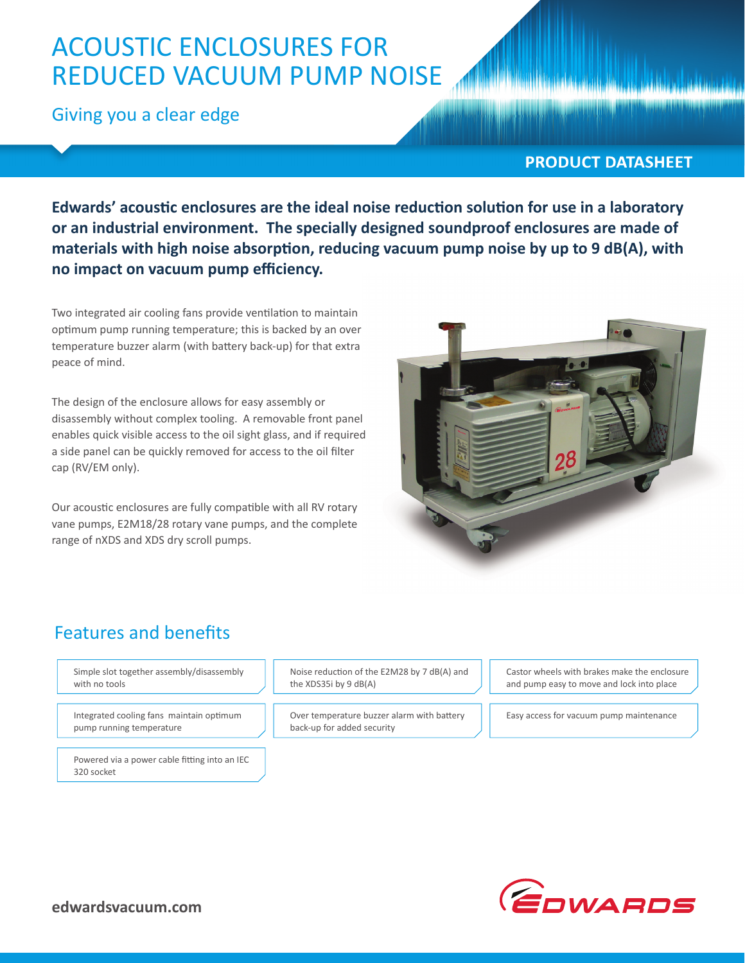# ACOUSTIC ENCLOSURES FOR REDUCED VACUUM PUMP NOISE

Giving you a clear edge

#### **PRODUCT DATASHEET**

Edwards' acoustic enclosures are the ideal noise reduction solution for use in a laboratory **or an industrial environment. The specially designed soundproof enclosures are made of**  materials with high noise absorption, reducing vacuum pump noise by up to 9 dB(A), with **no impact on vacuum pump efficiency.** 

Two integrated air cooling fans provide ventilation to maintain optimum pump running temperature; this is backed by an over temperature buzzer alarm (with battery back-up) for that extra peace of mind.

The design of the enclosure allows for easy assembly or disassembly without complex tooling. A removable front panel enables quick visible access to the oil sight glass, and if required a side panel can be quickly removed for access to the oil filter cap (RV/EM only).

Our acoustic enclosures are fully compatible with all RV rotary vane pumps, E2M18/28 rotary vane pumps, and the complete range of nXDS and XDS dry scroll pumps.



# **Features and benefits**

Simple slot together assembly/disassembly with no tools

Integrated cooling fans maintain optimum pump running temperature

Powered via a power cable fitting into an IEC 320 socket

Noise reduction of the E2M28 by 7 dB(A) and the XDS35i by 9 dB(A)

Over temperature buzzer alarm with battery back-up for added security

Castor wheels with brakes make the enclosure and pump easy to move and lock into place

Easy access for vacuum pump maintenance